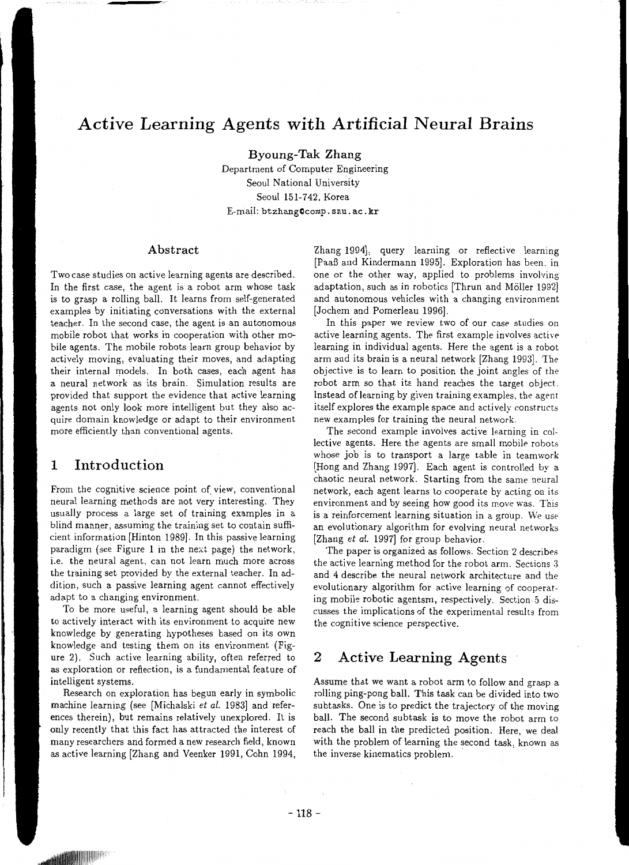## **Active Learning Agents with Artificial Neural Brains**

**Byoung-Tak Zhang** 

Department of Computer Engineering Seoul National University Seoul 151-742. Korea E-mail: btzhangCcomp. snu. ac. **kr** 

#### **Abstract**

Two case studies on active learning agents are described. In the first case, the agent is a robot arm whose task is to grasp a rolling ball. It learns from self-generated examples by initiating conversations with the external teacher. In the second *case,* the agent is an autonomous mobile robot that works in cooperation with other mobile agents. The mobile robots learn group behavior by actively moving, evaluating their moves, and adapting their internal models. In both cases, each agent has a neural network as its brain. Simulation results are provided that support the evidence that active learning agents not only look more intelligent but they also acquire domain knowledge or adapt to their environment more efficiently than conventional agents.

#### **1 Introduction**

From the cognitive science point of view, conventional neural learning methods are not very interesting. They usually process a large set of training examples in a blind manner, assuming the training set to contain sufficient information (Hinton 1989]. In this passive learning paradigm (see Figure 1 in the next page) the network, i.e. the neural agent, can not learn much more across the training set provided by the external teacher. In addition, such a passive learning agent cannot effectively adapt to a changing environment.

To be more useful, a learning agent should be able to actively interact with its environment to acquire new knowledge by generating hypotheses based on its own knowledge and testing them on its environment (Figure 2). Such active learning ability, often referred to *as* exploration or reflection, is a fundamental feature of intelligent systems.

Research on exploration has begun early in symbolic machine learning (see (Michalski *et al.* 1983] and references therein), but remains relatively unexplored. It is only recently that this fact has attracted the interest of many researchers and formed a new research field, known as active learning (Zhang and Veenker 1991, Cohn 1994,

Zhang 1994], query learning or reflective learning (PaaB and Kindermann 1995]. Exploration has been. in one or the other way, applied to problems involving adaptation, such as in robotics (Thrun and Moller 1992] and autonomous vehicles with a changing environment (Jochem and Pomerleau 1996].

In this paper we review two of our *case* studies on active learning agents. The first example involves active learning in individual agents. Here the agent is a robot arm and its brain is a neural network (Zhang 1993]. The objective is to learn to position the joint angles of the robot arm so that its hand reaches the target object. Instead of learning by given training examples, the agent itself explores the example space and actively constructs new examples for training the neural network.

The second example involves active learning in collective agents. Here the agents are small mobile robots whose job is to transport a large table in teamwork (Hong and Zhang 1997]. Each agent is controlled by a chaotic neural network. Starting from the same neural network, each agent learns to cooperate by acting on its environment and by seeing how good its move was. This is a reinforcement learning situation in a group. We use an evolutionary algorithm for evolving neural networks (Zhang *et al.* 1997] for group behavior.

The paper is organized *as* follows. Section 2 describes the active learning method for the robot arm. Sections *3*  and 4 describe the neural network architecture and the evolutionary algorithm for active learning of cooperating mobile robotic agentsm, respectively. Section 5 discusses the implications of the experimental results from the cognitive science perspective.

### **2 Active Learning Agents**

Assume that we want a robot arm to follow and grasp a rolling ping-pong ball. This task can be divided into two subtasks. One is to predict the trajectory of the moving ball. The second subtask is to move the robot arm to reach the ball in the predicted position. Here, we deal with the problem of learning the second task, known as the inverse kinematics problem.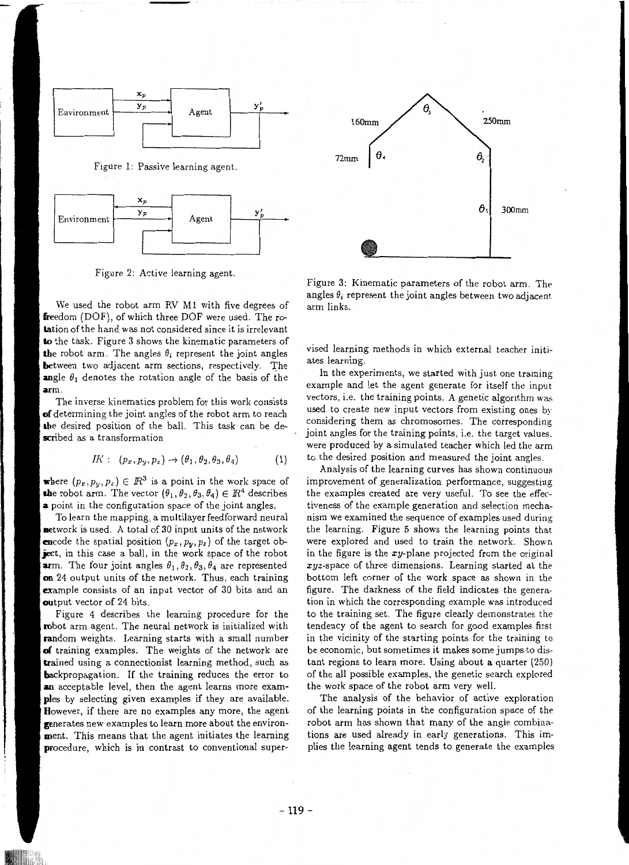

Figure 2: Active learning agent.

We used the robot arm RV Ml with five degrees of freedom (DOF), of which three DOF were used. The rotation of the hand was not considered since it is irrelevant **to** the task. Figure 3 shows the kinematic parameters of the robot arm. The angles  $\theta_i$  represent the joint angles between two adjacent arm sections, respectively. The angle  $\theta_1$  denotes the rotation angle of the basis of the **arm.** 

The inverse kinematics problem for this work consists **of** determining the joint angles of the robot arm to reach **the** desired position of the ball. This task can be described *as* a transformation

$$
IK: (p_x, p_y, p_z) \rightarrow (\theta_1, \theta_2, \theta_3, \theta_4) \tag{1}
$$

where  $(p_x, p_y, p_z) \in \mathbb{R}^3$  is a point in the work space of the robot arm. The vector  $(\theta_1, \theta_2, \theta_3, \theta_4) \in \mathbb{R}^4$  describes **a** point in the configuration space of the joint angles.

To learn the mapping, a multilayer feedforward neural network is used. A total of 30 input units of the network **en**code the spatial position  $(p_x, p_y, p_z)$  of the target ob**ject,** in this case a ball, in the work space of the robot **ar**m. The four joint angles  $\theta_1, \theta_2, \theta_3, \theta_4$  are represented **on** 24 output units of the network. Thus, each training example consists of an input vector of 30 bits and an output vector of 24 bits.

Figure 4 describes the learning procedure for the robot arm agent. The neural network is initialized with random weights. Learning starts with a small number **of** training examples. The weights of the network are trained using a connectionist learning method, such as **backpropagation.** If the training reduces the error to **an** acceptable level, then the agent learns more exam**ples** by selecting given examples if they are available. However, if there are no examples any more, the agent generates new examples to learn more about the environment. This means that the agent initiates the learning procedure, which is in contrast to conventional super-



Figure 3: Kinematic parameters of the robot arm. The angles  $\theta_i$  represent the joint angles between two adjacent arm links.

vised learning methods in which external teacher initiates learning.

In the experiments, we started with just one training example and let the agent generate for itself the input vectors, i.e. the training points. A genetic algorithm was used to create new input vectors from existing ones by considering them as chromosomes. The corresponding joint angles for the training points, i.e. the target values. were produced by a simulated teacher which led the arm to the desired position and measured the joint angles.

Analysis of the learning curves has shown continuous improvement of generalization performance, suggesting the examples created are very useful. To see the effectiveness of the example generation and selection mechanism we examined the sequence of examples used during the learning. Figure 5 shows the learning points that were explored and used to train the network. Shown in the figure is the  $xy$ -plane projected from the original *xyz-space* of three dimensions. Learning started at the bottom left corner of the work space as shown in the figure. The darkness of the field indicates the generation in which the corresponding example was introduced to the training set. The figure clearly demonstrates the tendency of the agent to search for good examples first in the vicinity of the starting points for the training to be economic, but sometimes it makes some jumps to distant regions to learn more. Using about a quarter (250) of the all possible examples. the genetic search explored the work space of the robot arm very well.

The analysis of the behavior of active exploration of the learning points in the configuration space of the robot arm has shown that many of the angle combinations are used already in early generations. This implies the learning agent tends to generate the examples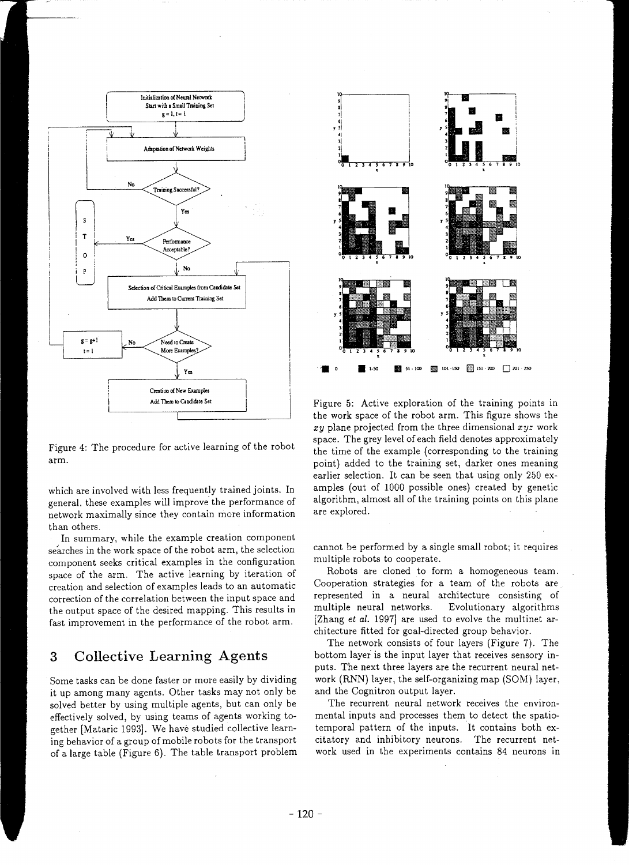

Figure 4: The procedure for active learning of the robot arm.

which are involved with less frequently trained joints. In general. these examples will improve. the performance of network maximally since they contain more information than others.

In summary, while the example creation component searches in the work space of the robot arm, the selection component seeks critical examples in the configuration space of the arm. The active learning by iteration of creation and selection of examples leads to an automatic correction of the correlation between the input space and the output space of the desired mapping. This results in fast improvement in the performance of the robot arm.

### **3 Collective Learning Agents**

Some tasks can be done faster or more easily by dividing it up among many agents. Other tasks may not only be solved better by using multiple agents, but can only be effectively solved, by using teams of agents working together [Mataric 1993]. We have studied collective learning behavior of a group of mobile robots for the transport of a large table (Figure 6). The table transport problem



Figure 5: Active exploration of the training points in the work space of the robot arm. This figure shows the xy plane projected from the three dimensional  $xyz$  work space. The grey level of each field denotes approximately the time of the example (corresponding to the training point) added to the training set, darker ones meaning earlier selection. It can be seen that using only 250 examples (out of 1000 possible ones) created by genetic algorithm, almost all of the training points on this plane are explored.

cannot be performed by a single small robot; it requires multiple robots to cooperate.

Robots are cloned to form a homogeneous team. Cooperation strategies for a team of the robots are represented in a neural architecture consisting of multiple neural networks. Evolutionary algorithms [Zhang *et al.* 1997] are used to evolve the multinet architecture fitted for goal-directed group behavior.

The network consists of four layers (Figure 7). The bottom layer is the input layer that receives sensory inputs. The next three layers are the recurrent neural network (RNN) layer, the self-organizing map (SOM) layer, and the Cognitron output layer.

The recurrent neural network receives the environmental inputs and processes them to detect the spatiatemporal pattern of the inputs. It contains both excitatory and inhibitory neurons. The recurrent network used in the experiments contains 84 neurons in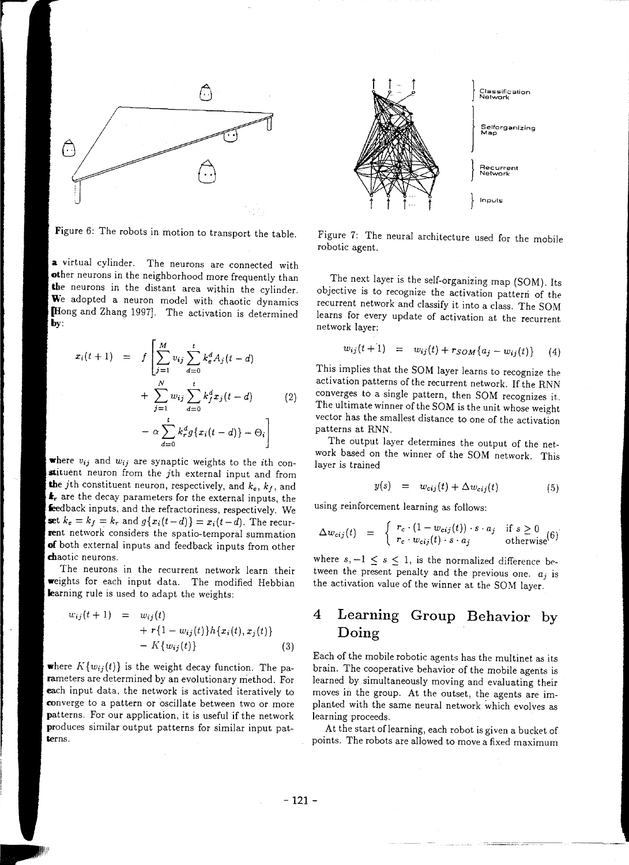

Figure 6: The robots in motion to transport the table.

**a** virtual cylinder. The neurons are connected with other neurons in the neighborhood more frequently than **the** neurons in the distant area within the cylinder. We adopted a neuron model with chaotic dynamics (Hong and Zhang 1997]. The activation is determined **by:** 

$$
x_i(t+1) = f\left[\sum_{j=1}^{M} v_{ij} \sum_{d=0}^{t} k_e^d A_j(t-d) + \sum_{j=1}^{N} w_{ij} \sum_{d=0}^{t} k_f^d x_j(t-d) \right]
$$
  
-  $\alpha \sum_{d=0}^{t} k_r^d g\{x_i(t-d)\} - \Theta_i\right]$  (2)

where  $v_{ij}$  and  $w_{ij}$  are synaptic weights to the *i*th constituent neuron from the *jth* external input and from the jth constituent neuron, respectively, and *ke, kf,* and **ir** are the decay parameters for the external inputs, the feedback inputs, and the refractoriness, respectively. We **set**  $k_e = k_f = k_r$  and  $g\{x_i(t-d)\} = x_i(t-d)$ . The recurrent network considers the spatio-temporal summation **of** both external inputs and feedback inputs from other chaotic neurons.

The neurons in the recurrent network learn their weights for each input data. The modified Hebbian learning rule is used to adapt the weights:

$$
w_{ij}(t+1) = w_{ij}(t) + r\{1 - w_{ij}(t)\}h\{x_i(t), x_j(t)\} - K\{w_{ij}(t)\}
$$
\n(3)

where  $K\{w_{ij}(t)\}\)$  is the weight decay function. The parameters are determined by an evolutionary method. For each input data, the network is activated iteratively to converge to a pattern or oscillate between two or more patterns. For our application, it is useful if the network produces similar output patterns for similar input patterns.



Figure 7: The neural architecture used for the mobile robotic agent.

The next layer is the self-organizing map (SOM). Its objective is to recognize the activation pattern of the recurrent network and classify it into a class. The SOM learns for every update of activation at the recurrent network layer:

$$
w_{ij}(t+1) = w_{ij}(t) + r_{SOM}\{a_j - w_{ij}(t)\} \tag{4}
$$

This implies that the SOM layer learns to recognize the activation patterns of the recurrent network. If the RNN converges to a single pattern, then SOM recognizes it.. The ultimate winner of the SOM is the unit whose weight vector has the smallest distance to one of the activation patterns at RNN.

The output layer determines the output of the network based on the winner of the SOM network. This layer is trained

$$
y(s) = w_{cij}(t) + \Delta w_{cij}(t) \tag{5}
$$

using reinforcement learning as follows:

$$
\Delta w_{\text{c}ij}(t) = \begin{cases} r_c \cdot (1 - w_{\text{c}ij}(t)) \cdot s \cdot a_j & \text{if } s \ge 0\\ r_c \cdot w_{\text{c}ij}(t) \cdot s \cdot a_j & \text{otherwise} \end{cases} \tag{6}
$$

where  $s, -1 \leq s \leq 1$ , is the normalized difference between the present penalty and the previous one.  $a_j$  is the activation value of the winner at the SOM layer.

## **4 Learning Group Behavior by Doing**

Each of the mobile robotic agents has the multinet as its brain. The cooperative behavior of the mobile agents is learned by simultaneously moving and evaluating their moves in the group. At the outset, the agents are implanted with the same neural network which evolves as learning proceeds.

At the start of learning, each robot is given a bucket of points. The robots are allowed to move a fixed maximum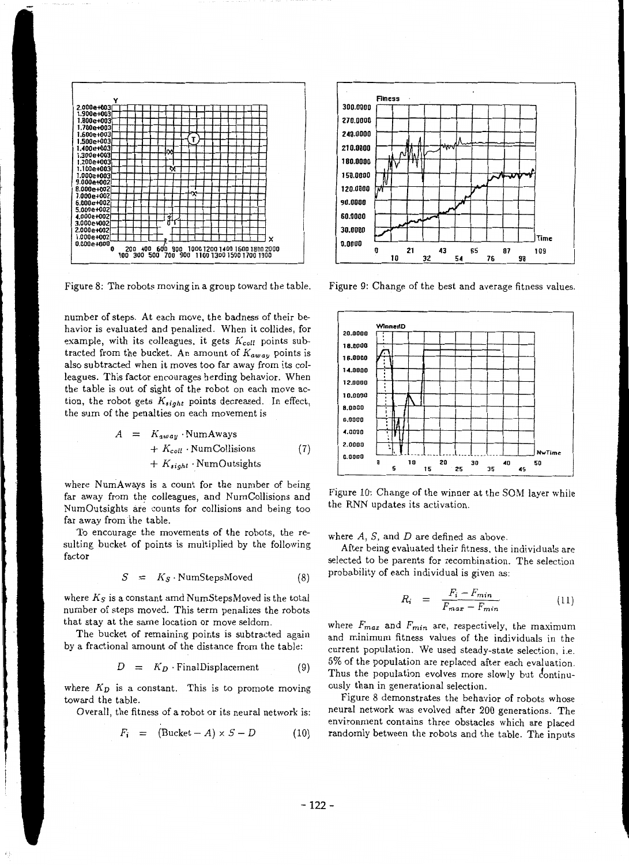

Figure 8: The robots moving in a group toward the table.

number of steps. At each move, the badness of their behavior is evaluated and penalized. When it collides, for example, with its colleagues, it gets *Kcoll* points subtracted from the bucket. An amount of  $K_{away}$  points is also subtracted when it moves too far away from its colleagues. This factor encourages herding behavior. When the table is out of sight of the robot on each move action, the robot gets *Ksight* points decreased. In effect, the sum of the penalties on each movement is

$$
A = K_{away} \cdot NumAways
$$
  
+  $K_{coll} \cdot NumCollisions$  (7)  
+  $K_{sight} \cdot NumOutsights$ 

where NumAways is a count for the number of being far away from the colleagues, and NumCollisions and NumOutsights are counts for collisions and being too far away from the table.

To encourage the movements of the robots, the resulting bucket of points is multiplied by the following factor

$$
S = K_S \cdot \text{NumStepsMoved} \tag{8}
$$

where  $K_S$  is a constant amd NumStepsMoved is the total number of steps moved. This term penalizes the robots that stay at the same location or move seldom.

The bucket of remaining points is subtracted again by a fractional amount of the distance from the table:

$$
D = K_D \cdot \text{FinalDisplacement} \tag{9}
$$

where  $K_D$  is a constant. This is to promote moving toward the table.

Overall, the fitness of a robot or its neural network is:

$$
F_i = (\text{Bucket} - A) \times S - D \tag{10}
$$



Figure 9: Change of the best and average fitness values.



Figure 10: Change of the winner at the SOM layer while the RNN updates its activation.

where  $A$ ,  $S$ , and  $D$  are defined as above.

After being evaluated their fitness. the individuals are selected to be parents for recombination. The selection probability of each individual is given as:

$$
R_i = \frac{F_i - F_{min}}{F_{max} - F_{min}} \tag{11}
$$

where *Fmax* and *Fmin.* are, respectively, the maximum and minimum fitness values of the individuals in the current population. We used steady-state selection. i.e. 5% of the population are replaced after each evaluation. Thus the population evolves more slowly but continuously than in generational selection.

Figure 8 demonstrates the behavior of robots whose neural network was evolved after 200 generations. The environment contains three obstacles which are placed randomly between the robots and the table. The inputs